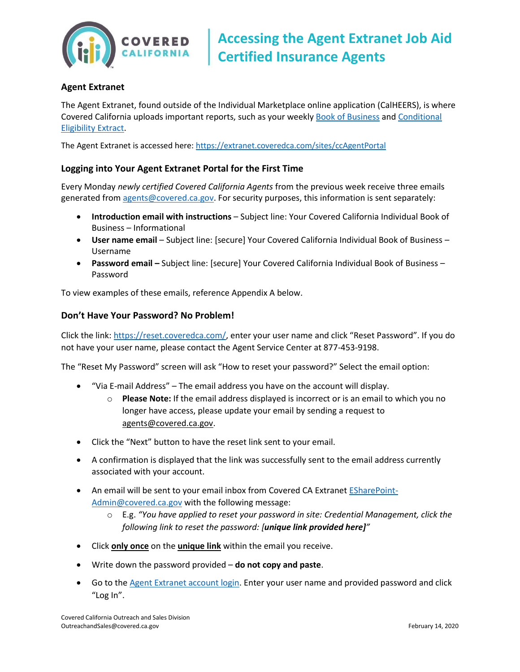

# **Agent Extranet**

The Agent Extranet, found outside of the Individual Marketplace online application (CalHEERS), is where Covered California uploads important reports, such as your weekly [Book of Business](http://hbex.coveredca.com/toolkit/webinars-briefings/downloads/Book_of_Business_Extract_Quick_Guide_Final.pdf) and [Conditional](http://hbex.coveredca.com/toolkit/webinars-briefings/downloads/Conditional_Eligibility_Extract_Job_Aid_Final.pdf)  [Eligibility Extract.](http://hbex.coveredca.com/toolkit/webinars-briefings/downloads/Conditional_Eligibility_Extract_Job_Aid_Final.pdf)

The Agent Extranet is accessed here[: https://extranet.coveredca.com/sites/ccAgentPortal](https://extranet.coveredca.com/sites/ccAgentPortal)

### **Logging into Your Agent Extranet Portal for the First Time**

Every Monday *newly certified Covered California Agents* from the previous week receive three emails generated from [agents@covered.ca.gov.](mailto:agents@covered.ca.gov) For security purposes, this information is sent separately:

- **Introduction email with instructions** Subject line: Your Covered California Individual Book of Business – Informational
- **User name email** Subject line: [secure] Your Covered California Individual Book of Business Username
- **Password email –** Subject line: [secure] Your Covered California Individual Book of Business Password

To view examples of these emails, reference Appendix A below.

#### **Don't Have Your Password? No Problem!**

Click the link: [https://reset.coveredca.com/](https://reset.coveredca.com/SitePages/Home.aspx), enter your user name and click "Reset Password". If you do not have your user name, please contact the Agent Service Center at 877-453-9198.

The "Reset My Password" screen will ask "How to reset your password?" Select the email option:

- "Via E-mail Address" The email address you have on the account will display.
	- o **Please Note:** If the email address displayed is incorrect or is an email to which you no longer have access, please update your email by sending a request to [agents@covered.ca.gov.](mailto:agents@covered.ca.gov)
- Click the "Next" button to have the reset link sent to your email.
- A confirmation is displayed that the link was successfully sent to the email address currently associated with your account.
- An email will be sent to your email inbox from Covered CA Extranet **ESharePoint-**[Admin@covered.ca.gov](mailto:ESharePoint-Admin@covered.ca.gov) with the following message:
	- o E.g. *"You have applied to reset your password in site: Credential Management, click the following link to reset the password: [unique link provided here]"*
- Click **only once** on the **unique link** within the email you receive.
- Write down the password provided **do not copy and paste**.
- Go to the **Agent Extranet account login**. Enter your user name and provided password and click "Log In".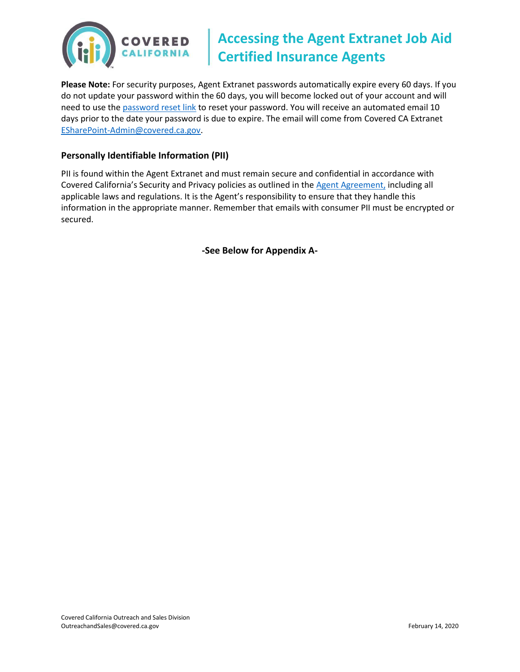

# **Accessing the Agent Extranet Job Aid Certified Insurance Agents**

**Please Note:** For security purposes, Agent Extranet passwords automatically expire every 60 days. If you do not update your password within the 60 days, you will become locked out of your account and will need to use th[e password reset link](https://reset.coveredca.com/) to reset your password. You will receive an automated email 10 days prior to the date your password is due to expire. The email will come from Covered CA Extranet [ESharePoint-Admin@covered.ca.gov.](mailto:ESharePoint-Admin@covered.ca.gov)

## **Personally Identifiable Information (PII)**

PII is found within the Agent Extranet and must remain secure and confidential in accordance with Covered California's Security and Privacy policies as outlined in the [Agent Agreement,](https://www.coveredca.com/agents/PDFs/CoveredCA_Agency_Agreement.pdf) including all applicable laws and regulations. It is the Agent's responsibility to ensure that they handle this information in the appropriate manner. Remember that emails with consumer PII must be encrypted or secured.

**-See Below for Appendix A-**